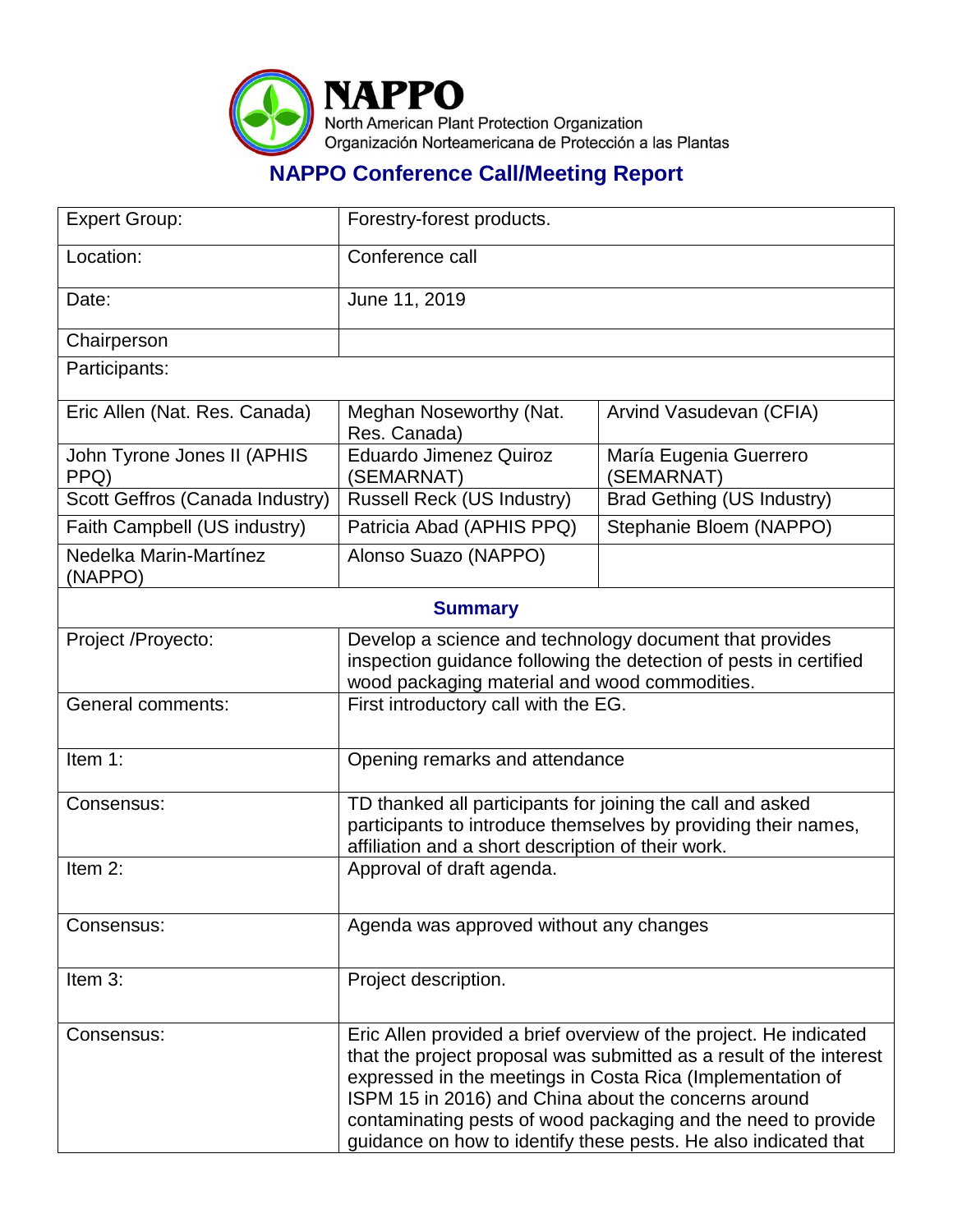

## **NAPPO Conference Call/Meeting Report**

| <b>Expert Group:</b>                | Forestry-forest products.                                                                                                                                                                                                                                                                                                                                                                          |                                      |
|-------------------------------------|----------------------------------------------------------------------------------------------------------------------------------------------------------------------------------------------------------------------------------------------------------------------------------------------------------------------------------------------------------------------------------------------------|--------------------------------------|
| Location:                           | Conference call                                                                                                                                                                                                                                                                                                                                                                                    |                                      |
| Date:                               | June 11, 2019                                                                                                                                                                                                                                                                                                                                                                                      |                                      |
| Chairperson                         |                                                                                                                                                                                                                                                                                                                                                                                                    |                                      |
| Participants:                       |                                                                                                                                                                                                                                                                                                                                                                                                    |                                      |
| Eric Allen (Nat. Res. Canada)       | Meghan Noseworthy (Nat.<br>Res. Canada)                                                                                                                                                                                                                                                                                                                                                            | Arvind Vasudevan (CFIA)              |
| John Tyrone Jones II (APHIS<br>PPQ) | <b>Eduardo Jimenez Quiroz</b><br>(SEMARNAT)                                                                                                                                                                                                                                                                                                                                                        | María Eugenia Guerrero<br>(SEMARNAT) |
| Scott Geffros (Canada Industry)     | Russell Reck (US Industry)                                                                                                                                                                                                                                                                                                                                                                         | <b>Brad Gething (US Industry)</b>    |
| Faith Campbell (US industry)        | Patricia Abad (APHIS PPQ)                                                                                                                                                                                                                                                                                                                                                                          | Stephanie Bloem (NAPPO)              |
| Nedelka Marin-Martínez<br>(NAPPO)   | Alonso Suazo (NAPPO)                                                                                                                                                                                                                                                                                                                                                                               |                                      |
| <b>Summary</b>                      |                                                                                                                                                                                                                                                                                                                                                                                                    |                                      |
| Project /Proyecto:                  | Develop a science and technology document that provides<br>inspection guidance following the detection of pests in certified<br>wood packaging material and wood commodities.                                                                                                                                                                                                                      |                                      |
| <b>General comments:</b>            | First introductory call with the EG.                                                                                                                                                                                                                                                                                                                                                               |                                      |
| Item 1:                             | Opening remarks and attendance                                                                                                                                                                                                                                                                                                                                                                     |                                      |
| Consensus:                          | TD thanked all participants for joining the call and asked<br>participants to introduce themselves by providing their names,<br>affiliation and a short description of their work.                                                                                                                                                                                                                 |                                      |
| Item 2:                             | Approval of draft agenda.                                                                                                                                                                                                                                                                                                                                                                          |                                      |
| Consensus:                          | Agenda was approved without any changes                                                                                                                                                                                                                                                                                                                                                            |                                      |
| Item 3:                             | Project description.                                                                                                                                                                                                                                                                                                                                                                               |                                      |
| Consensus:                          | Eric Allen provided a brief overview of the project. He indicated<br>that the project proposal was submitted as a result of the interest<br>expressed in the meetings in Costa Rica (Implementation of<br>ISPM 15 in 2016) and China about the concerns around<br>contaminating pests of wood packaging and the need to provide<br>guidance on how to identify these pests. He also indicated that |                                      |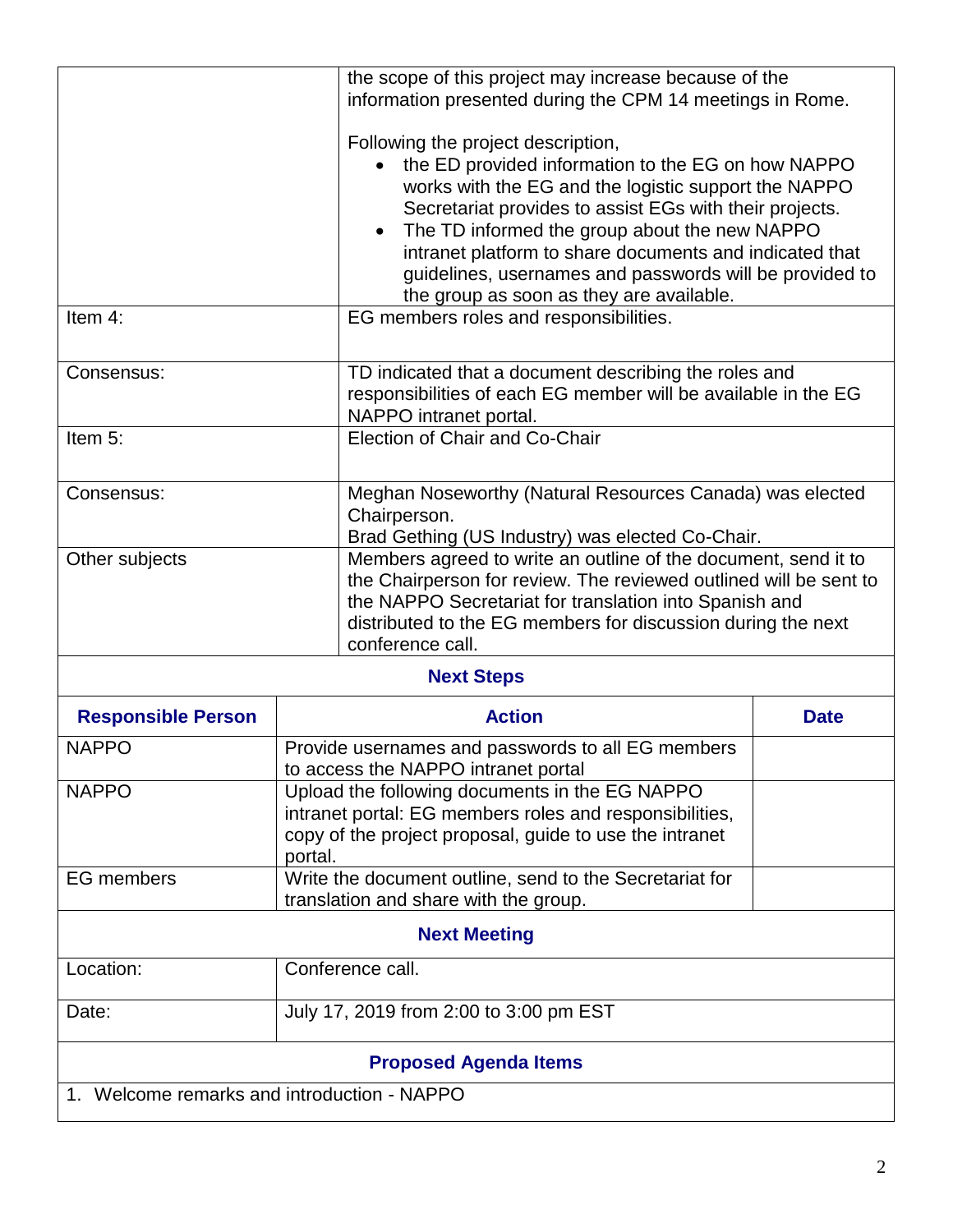|                                                   | the scope of this project may increase because of the<br>information presented during the CPM 14 meetings in Rome.                                                                                                                                                                                                                                                                                                             |                                                                                                                                                                                                                                                               |  |  |
|---------------------------------------------------|--------------------------------------------------------------------------------------------------------------------------------------------------------------------------------------------------------------------------------------------------------------------------------------------------------------------------------------------------------------------------------------------------------------------------------|---------------------------------------------------------------------------------------------------------------------------------------------------------------------------------------------------------------------------------------------------------------|--|--|
|                                                   | Following the project description,<br>the ED provided information to the EG on how NAPPO<br>works with the EG and the logistic support the NAPPO<br>Secretariat provides to assist EGs with their projects.<br>The TD informed the group about the new NAPPO<br>intranet platform to share documents and indicated that<br>guidelines, usernames and passwords will be provided to<br>the group as soon as they are available. |                                                                                                                                                                                                                                                               |  |  |
| Item 4:<br>EG members roles and responsibilities. |                                                                                                                                                                                                                                                                                                                                                                                                                                |                                                                                                                                                                                                                                                               |  |  |
| Consensus:                                        | NAPPO intranet portal.                                                                                                                                                                                                                                                                                                                                                                                                         | TD indicated that a document describing the roles and<br>responsibilities of each EG member will be available in the EG                                                                                                                                       |  |  |
| Item 5:<br>Election of Chair and Co-Chair         |                                                                                                                                                                                                                                                                                                                                                                                                                                |                                                                                                                                                                                                                                                               |  |  |
| Consensus:                                        | Chairperson.                                                                                                                                                                                                                                                                                                                                                                                                                   | Meghan Noseworthy (Natural Resources Canada) was elected<br>Brad Gething (US Industry) was elected Co-Chair.                                                                                                                                                  |  |  |
| Other subjects                                    | conference call.                                                                                                                                                                                                                                                                                                                                                                                                               | Members agreed to write an outline of the document, send it to<br>the Chairperson for review. The reviewed outlined will be sent to<br>the NAPPO Secretariat for translation into Spanish and<br>distributed to the EG members for discussion during the next |  |  |
| <b>Next Steps</b>                                 |                                                                                                                                                                                                                                                                                                                                                                                                                                |                                                                                                                                                                                                                                                               |  |  |
| <b>Responsible Person</b>                         | <b>Action</b>                                                                                                                                                                                                                                                                                                                                                                                                                  | <b>Date</b>                                                                                                                                                                                                                                                   |  |  |
| <b>NAPPO</b>                                      | Provide usernames and passwords to all EG members<br>to access the NAPPO intranet portal                                                                                                                                                                                                                                                                                                                                       |                                                                                                                                                                                                                                                               |  |  |
| <b>NAPPO</b>                                      | Upload the following documents in the EG NAPPO<br>intranet portal: EG members roles and responsibilities,<br>copy of the project proposal, guide to use the intranet<br>portal.                                                                                                                                                                                                                                                |                                                                                                                                                                                                                                                               |  |  |
| <b>EG</b> members                                 | Write the document outline, send to the Secretariat for<br>translation and share with the group.                                                                                                                                                                                                                                                                                                                               |                                                                                                                                                                                                                                                               |  |  |
| <b>Next Meeting</b>                               |                                                                                                                                                                                                                                                                                                                                                                                                                                |                                                                                                                                                                                                                                                               |  |  |
| Location:                                         | Conference call.                                                                                                                                                                                                                                                                                                                                                                                                               |                                                                                                                                                                                                                                                               |  |  |
| Date:                                             | July 17, 2019 from 2:00 to 3:00 pm EST                                                                                                                                                                                                                                                                                                                                                                                         |                                                                                                                                                                                                                                                               |  |  |
| <b>Proposed Agenda Items</b>                      |                                                                                                                                                                                                                                                                                                                                                                                                                                |                                                                                                                                                                                                                                                               |  |  |
| 1. Welcome remarks and introduction - NAPPO       |                                                                                                                                                                                                                                                                                                                                                                                                                                |                                                                                                                                                                                                                                                               |  |  |